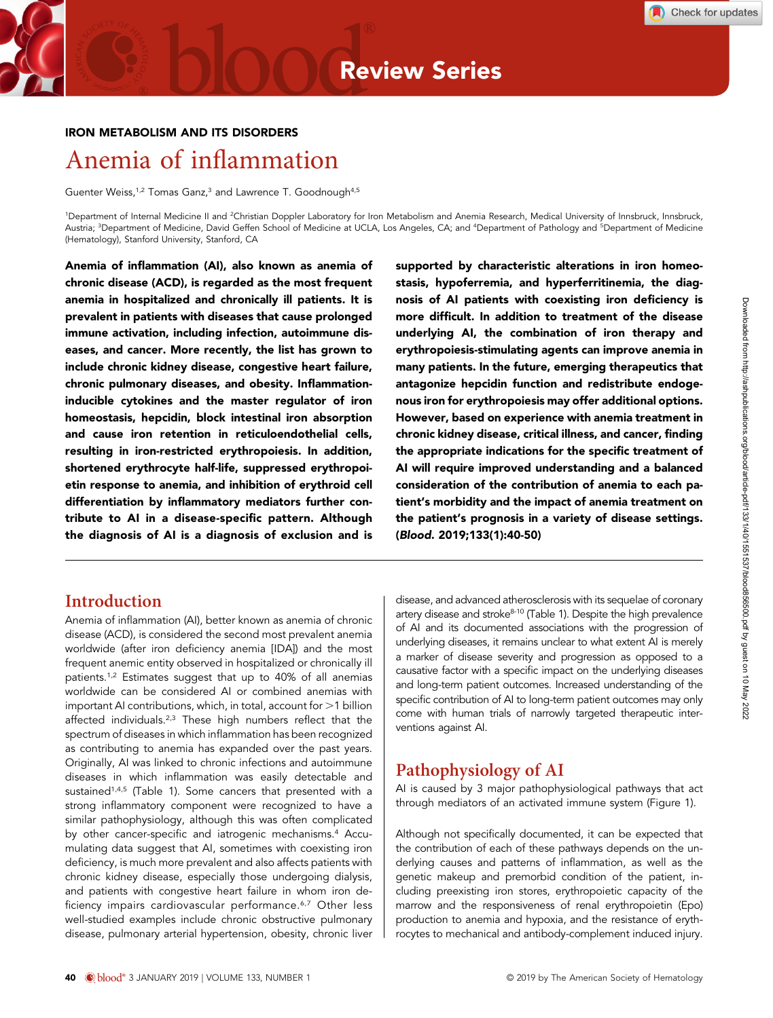#### IRON METABOLISM AND ITS DISORDERS

# Anemia of inflammation

Guenter Weiss,<sup>1,2</sup> Tomas Ganz,<sup>3</sup> and Lawrence T. Goodnough<sup>4,5</sup>

<sup>1</sup>Department of Internal Medicine II and <sup>2</sup>Christian Doppler Laboratory for Iron Metabolism and Anemia Research, Medical University of Innsbruck, Innsbruck, Austria; <sup>3</sup>Department of Medicine, David Geffen School of Medicine at UCLA, Los Angeles, CA; and <sup>4</sup>Department of Pathology and <sup>5</sup>Department of Medicine (Hematology), Stanford University, Stanford, CA

Anemia of inflammation (AI), also known as anemia of chronic disease (ACD), is regarded as the most frequent anemia in hospitalized and chronically ill patients. It is prevalent in patients with diseases that cause prolonged immune activation, including infection, autoimmune diseases, and cancer. More recently, the list has grown to include chronic kidney disease, congestive heart failure, chronic pulmonary diseases, and obesity. Inflammationinducible cytokines and the master regulator of iron homeostasis, hepcidin, block intestinal iron absorption and cause iron retention in reticuloendothelial cells, resulting in iron-restricted erythropoiesis. In addition, shortened erythrocyte half-life, suppressed erythropoietin response to anemia, and inhibition of erythroid cell differentiation by inflammatory mediators further contribute to AI in a disease-specific pattern. Although the diagnosis of AI is a diagnosis of exclusion and is

# **Introduction**

Anemia of inflammation (AI), better known as anemia of chronic disease (ACD), is considered the second most prevalent anemia worldwide (after iron deficiency anemia [IDA]) and the most frequent anemic entity observed in hospitalized or chronically ill patients.1,2 Estimates suggest that up to 40% of all anemias worldwide can be considered AI or combined anemias with important AI contributions, which, in total, account for  $>1$  billion affected individuals.<sup>2,3</sup> These high numbers reflect that the spectrum of diseases in which inflammation has been recognized as contributing to anemia has expanded over the past years. Originally, AI was linked to chronic infections and autoimmune diseases in which inflammation was easily detectable and sustained<sup>1,4,5</sup> (Table 1). Some cancers that presented with a strong inflammatory component were recognized to have a similar pathophysiology, although this was often complicated by other cancer-specific and iatrogenic mechanisms.<sup>4</sup> Accumulating data suggest that AI, sometimes with coexisting iron deficiency, is much more prevalent and also affects patients with chronic kidney disease, especially those undergoing dialysis, and patients with congestive heart failure in whom iron deficiency impairs cardiovascular performance.<sup>6,7</sup> Other less well-studied examples include chronic obstructive pulmonary disease, pulmonary arterial hypertension, obesity, chronic liver supported by characteristic alterations in iron homeostasis, hypoferremia, and hyperferritinemia, the diagnosis of AI patients with coexisting iron deficiency is more difficult. In addition to treatment of the disease underlying AI, the combination of iron therapy and erythropoiesis-stimulating agents can improve anemia in many patients. In the future, emerging therapeutics that antagonize hepcidin function and redistribute endogenous iron for erythropoiesis may offer additional options. However, based on experience with anemia treatment in chronic kidney disease, critical illness, and cancer, finding the appropriate indications for the specific treatment of AI will require improved understanding and a balanced consideration of the contribution of anemia to each patient's morbidity and the impact of anemia treatment on the patient's prognosis in a variety of disease settings. (Blood. 2019;133(1):40-50)

disease, and advanced atherosclerosis with its sequelae of coronary artery disease and stroke<sup>8-10</sup> (Table 1). Despite the high prevalence of AI and its documented associations with the progression of underlying diseases, it remains unclear to what extent AI is merely a marker of disease severity and progression as opposed to a causative factor with a specific impact on the underlying diseases and long-term patient outcomes. Increased understanding of the specific contribution of AI to long-term patient outcomes may only come with human trials of narrowly targeted therapeutic interventions against AI.

# Pathophysiology of AI

AI is caused by 3 major pathophysiological pathways that act through mediators of an activated immune system (Figure 1).

Although not specifically documented, it can be expected that the contribution of each of these pathways depends on the underlying causes and patterns of inflammation, as well as the genetic makeup and premorbid condition of the patient, including preexisting iron stores, erythropoietic capacity of the marrow and the responsiveness of renal erythropoietin (Epo) production to anemia and hypoxia, and the resistance of erythrocytes to mechanical and antibody-complement induced injury.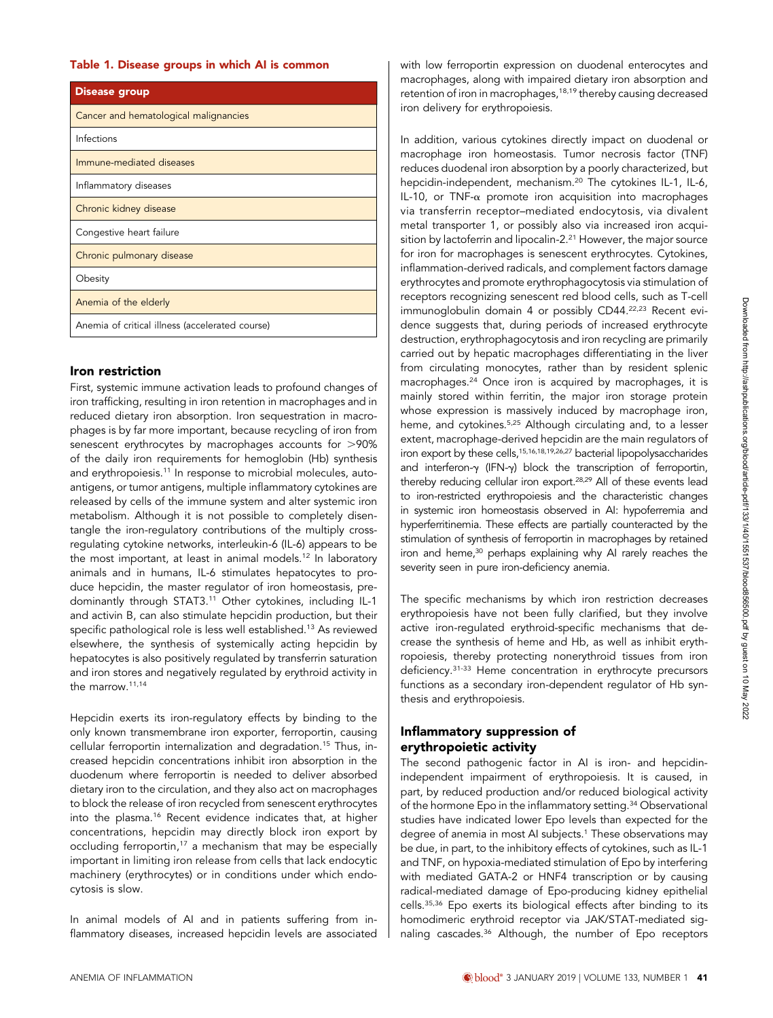| <b>Disease group</b>                            |
|-------------------------------------------------|
| Cancer and hematological malignancies           |
| Infections                                      |
| Immune-mediated diseases                        |
| Inflammatory diseases                           |
| Chronic kidney disease                          |
| Congestive heart failure                        |
| Chronic pulmonary disease                       |
| Obesity                                         |
| Anemia of the elderly                           |
| Anemia of critical illness (accelerated course) |

#### Iron restriction

First, systemic immune activation leads to profound changes of iron trafficking, resulting in iron retention in macrophages and in reduced dietary iron absorption. Iron sequestration in macrophages is by far more important, because recycling of iron from senescent erythrocytes by macrophages accounts for  $>90\%$ of the daily iron requirements for hemoglobin (Hb) synthesis and erythropoiesis.<sup>11</sup> In response to microbial molecules, autoantigens, or tumor antigens, multiple inflammatory cytokines are released by cells of the immune system and alter systemic iron metabolism. Although it is not possible to completely disentangle the iron-regulatory contributions of the multiply crossregulating cytokine networks, interleukin-6 (IL-6) appears to be the most important, at least in animal models.<sup>12</sup> In laboratory animals and in humans, IL-6 stimulates hepatocytes to produce hepcidin, the master regulator of iron homeostasis, predominantly through STAT3.11 Other cytokines, including IL-1 and activin B, can also stimulate hepcidin production, but their specific pathological role is less well established.13 As reviewed elsewhere, the synthesis of systemically acting hepcidin by hepatocytes is also positively regulated by transferrin saturation and iron stores and negatively regulated by erythroid activity in the marrow.11,14

Hepcidin exerts its iron-regulatory effects by binding to the only known transmembrane iron exporter, ferroportin, causing cellular ferroportin internalization and degradation.15 Thus, increased hepcidin concentrations inhibit iron absorption in the duodenum where ferroportin is needed to deliver absorbed dietary iron to the circulation, and they also act on macrophages to block the release of iron recycled from senescent erythrocytes into the plasma.16 Recent evidence indicates that, at higher concentrations, hepcidin may directly block iron export by occluding ferroportin,<sup>17</sup> a mechanism that may be especially important in limiting iron release from cells that lack endocytic machinery (erythrocytes) or in conditions under which endocytosis is slow.

In animal models of AI and in patients suffering from inflammatory diseases, increased hepcidin levels are associated with low ferroportin expression on duodenal enterocytes and macrophages, along with impaired dietary iron absorption and retention of iron in macrophages,<sup>18,19</sup> thereby causing decreased iron delivery for erythropoiesis.

In addition, various cytokines directly impact on duodenal or macrophage iron homeostasis. Tumor necrosis factor (TNF) reduces duodenal iron absorption by a poorly characterized, but hepcidin-independent, mechanism.20 The cytokines IL-1, IL-6, IL-10, or TNF- $\alpha$  promote iron acquisition into macrophages via transferrin receptor–mediated endocytosis, via divalent metal transporter 1, or possibly also via increased iron acquisition by lactoferrin and lipocalin-2.<sup>21</sup> However, the major source for iron for macrophages is senescent erythrocytes. Cytokines, inflammation-derived radicals, and complement factors damage erythrocytes and promote erythrophagocytosis via stimulation of receptors recognizing senescent red blood cells, such as T-cell immunoglobulin domain 4 or possibly CD44.<sup>22,23</sup> Recent evidence suggests that, during periods of increased erythrocyte destruction, erythrophagocytosis and iron recycling are primarily carried out by hepatic macrophages differentiating in the liver from circulating monocytes, rather than by resident splenic macrophages.24 Once iron is acquired by macrophages, it is mainly stored within ferritin, the major iron storage protein whose expression is massively induced by macrophage iron, heme, and cytokines.<sup>5,25</sup> Although circulating and, to a lesser extent, macrophage-derived hepcidin are the main regulators of iron export by these cells,<sup>15,16,18,19,26,27</sup> bacterial lipopolysaccharides and interferon- $\gamma$  (IFN- $\gamma$ ) block the transcription of ferroportin, thereby reducing cellular iron export.<sup>28,29</sup> All of these events lead to iron-restricted erythropoiesis and the characteristic changes in systemic iron homeostasis observed in AI: hypoferremia and hyperferritinemia. These effects are partially counteracted by the stimulation of synthesis of ferroportin in macrophages by retained iron and heme,<sup>30</sup> perhaps explaining why AI rarely reaches the severity seen in pure iron-deficiency anemia.

The specific mechanisms by which iron restriction decreases erythropoiesis have not been fully clarified, but they involve active iron-regulated erythroid-specific mechanisms that decrease the synthesis of heme and Hb, as well as inhibit erythropoiesis, thereby protecting nonerythroid tissues from iron deficiency.31-33 Heme concentration in erythrocyte precursors functions as a secondary iron-dependent regulator of Hb synthesis and erythropoiesis.

#### Inflammatory suppression of erythropoietic activity

The second pathogenic factor in AI is iron- and hepcidinindependent impairment of erythropoiesis. It is caused, in part, by reduced production and/or reduced biological activity of the hormone Epo in the inflammatory setting.<sup>34</sup> Observational studies have indicated lower Epo levels than expected for the degree of anemia in most AI subjects.<sup>1</sup> These observations may be due, in part, to the inhibitory effects of cytokines, such as IL-1 and TNF, on hypoxia-mediated stimulation of Epo by interfering with mediated GATA-2 or HNF4 transcription or by causing radical-mediated damage of Epo-producing kidney epithelial cells.35,36 Epo exerts its biological effects after binding to its homodimeric erythroid receptor via JAK/STAT-mediated signaling cascades.<sup>36</sup> Although, the number of Epo receptors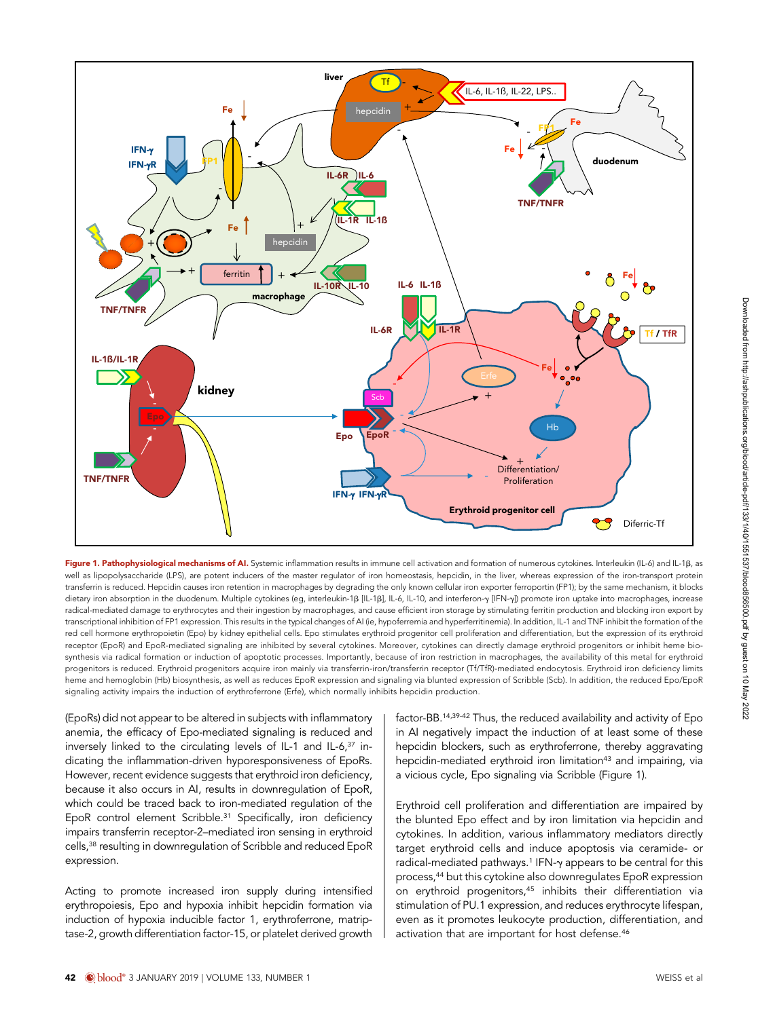

Figure 1. Pathophysiological mechanisms of AI. Systemic inflammation results in immune cell activation and formation of numerous cytokines. Interleukin (IL-6) and IL-1B, as well as lipopolysaccharide (LPS), are potent inducers of the master regulator of iron homeostasis, hepcidin, in the liver, whereas expression of the iron-transport protein transferrin is reduced. Hepcidin causes iron retention in macrophages by degrading the only known cellular iron exporter ferroportin (FP1); by the same mechanism, it blocks dietary iron absorption in the duodenum. Multiple cytokines (eg, interleukin-1 $\beta$  [IL-1 $\beta$ ], IL-6, IL-10, and interferon-y [IFN-y]) promote iron uptake into macrophages, increase radical-mediated damage to erythrocytes and their ingestion by macrophages, and cause efficient iron storage by stimulating ferritin production and blocking iron export by transcriptional inhibition of FP1 expression. This results in the typical changes of AI (ie, hypoferremia and hyperferritinemia). In addition, IL-1 and TNF inhibit the formation of the red cell hormone erythropoietin (Epo) by kidney epithelial cells. Epo stimulates erythroid progenitor cell proliferation and differentiation, but the expression of its erythroid receptor (EpoR) and EpoR-mediated signaling are inhibited by several cytokines. Moreover, cytokines can directly damage erythroid progenitors or inhibit heme biosynthesis via radical formation or induction of apoptotic processes. Importantly, because of iron restriction in macrophages, the availability of this metal for erythroid progenitors is reduced. Erythroid progenitors acquire iron mainly via transferrin-iron/transferrin receptor (Tf/TfR)-mediated endocytosis. Erythroid iron deficiency limits heme and hemoglobin (Hb) biosynthesis, as well as reduces EpoR expression and signaling via blunted expression of Scribble (Scb). In addition, the reduced Epo/EpoR signaling activity impairs the induction of erythroferrone (Erfe), which normally inhibits hepcidin production.

(EpoRs) did not appear to be altered in subjects with inflammatory anemia, the efficacy of Epo-mediated signaling is reduced and inversely linked to the circulating levels of IL-1 and IL-6, $37$  indicating the inflammation-driven hyporesponsiveness of EpoRs. However, recent evidence suggests that erythroid iron deficiency, because it also occurs in AI, results in downregulation of EpoR, which could be traced back to iron-mediated regulation of the EpoR control element Scribble.<sup>31</sup> Specifically, iron deficiency impairs transferrin receptor-2–mediated iron sensing in erythroid cells,38 resulting in downregulation of Scribble and reduced EpoR expression.

Acting to promote increased iron supply during intensified erythropoiesis, Epo and hypoxia inhibit hepcidin formation via induction of hypoxia inducible factor 1, erythroferrone, matriptase-2, growth differentiation factor-15, or platelet derived growth factor-BB.14,39-42 Thus, the reduced availability and activity of Epo in AI negatively impact the induction of at least some of these hepcidin blockers, such as erythroferrone, thereby aggravating hepcidin-mediated erythroid iron limitation<sup>43</sup> and impairing, via a vicious cycle, Epo signaling via Scribble (Figure 1).

Erythroid cell proliferation and differentiation are impaired by the blunted Epo effect and by iron limitation via hepcidin and cytokines. In addition, various inflammatory mediators directly target erythroid cells and induce apoptosis via ceramide- or radical-mediated pathways.<sup>1</sup> IFN-y appears to be central for this process,44 but this cytokine also downregulates EpoR expression on erythroid progenitors,<sup>45</sup> inhibits their differentiation via stimulation of PU.1 expression, and reduces erythrocyte lifespan, even as it promotes leukocyte production, differentiation, and activation that are important for host defense.<sup>46</sup>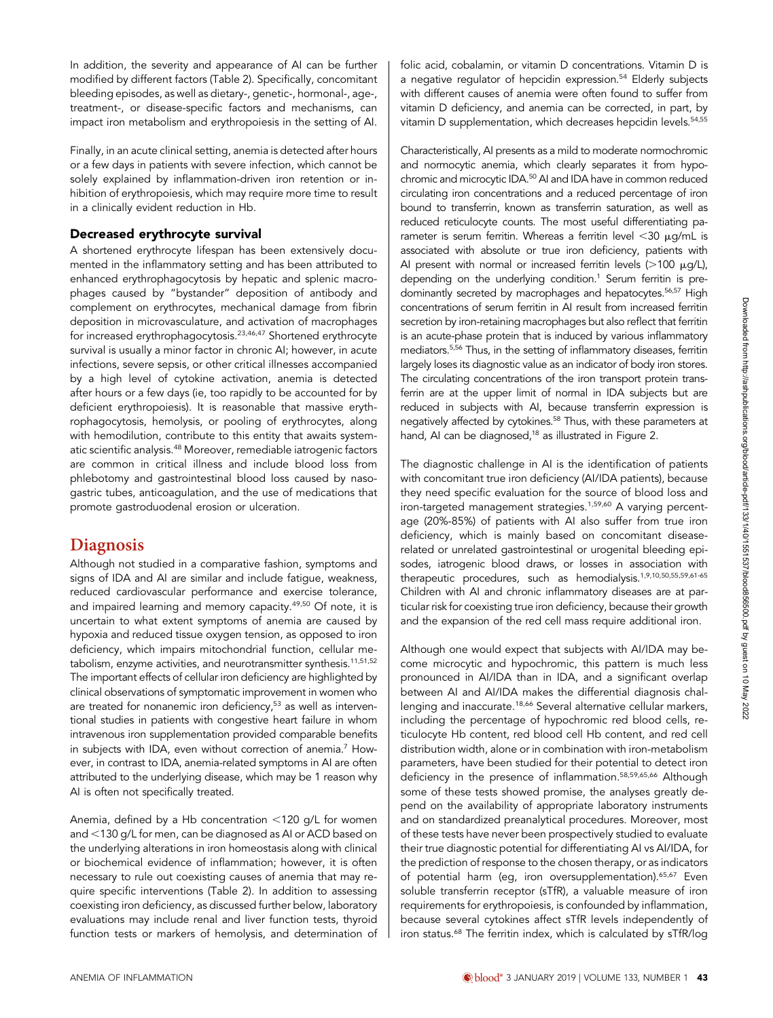In addition, the severity and appearance of AI can be further modified by different factors (Table 2). Specifically, concomitant bleeding episodes, as well as dietary-, genetic-, hormonal-, age-, treatment-, or disease-specific factors and mechanisms, can impact iron metabolism and erythropoiesis in the setting of AI.

Finally, in an acute clinical setting, anemia is detected after hours or a few days in patients with severe infection, which cannot be solely explained by inflammation-driven iron retention or inhibition of erythropoiesis, which may require more time to result in a clinically evident reduction in Hb.

#### Decreased erythrocyte survival

A shortened erythrocyte lifespan has been extensively documented in the inflammatory setting and has been attributed to enhanced erythrophagocytosis by hepatic and splenic macrophages caused by "bystander" deposition of antibody and complement on erythrocytes, mechanical damage from fibrin deposition in microvasculature, and activation of macrophages for increased erythrophagocytosis.23,46,47 Shortened erythrocyte survival is usually a minor factor in chronic AI; however, in acute infections, severe sepsis, or other critical illnesses accompanied by a high level of cytokine activation, anemia is detected after hours or a few days (ie, too rapidly to be accounted for by deficient erythropoiesis). It is reasonable that massive erythrophagocytosis, hemolysis, or pooling of erythrocytes, along with hemodilution, contribute to this entity that awaits systematic scientific analysis.<sup>48</sup> Moreover, remediable iatrogenic factors are common in critical illness and include blood loss from phlebotomy and gastrointestinal blood loss caused by nasogastric tubes, anticoagulation, and the use of medications that promote gastroduodenal erosion or ulceration.

#### Diagnosis

Although not studied in a comparative fashion, symptoms and signs of IDA and AI are similar and include fatigue, weakness, reduced cardiovascular performance and exercise tolerance, and impaired learning and memory capacity.<sup>49,50</sup> Of note, it is uncertain to what extent symptoms of anemia are caused by hypoxia and reduced tissue oxygen tension, as opposed to iron deficiency, which impairs mitochondrial function, cellular metabolism, enzyme activities, and neurotransmitter synthesis.11,51,52 The important effects of cellular iron deficiency are highlighted by clinical observations of symptomatic improvement in women who are treated for nonanemic iron deficiency,<sup>53</sup> as well as interventional studies in patients with congestive heart failure in whom intravenous iron supplementation provided comparable benefits in subjects with IDA, even without correction of anemia.<sup>7</sup> However, in contrast to IDA, anemia-related symptoms in AI are often attributed to the underlying disease, which may be 1 reason why AI is often not specifically treated.

Anemia, defined by a Hb concentration  $<$ 120 g/L for women and <130 g/L for men, can be diagnosed as AI or ACD based on the underlying alterations in iron homeostasis along with clinical or biochemical evidence of inflammation; however, it is often necessary to rule out coexisting causes of anemia that may require specific interventions (Table 2). In addition to assessing coexisting iron deficiency, as discussed further below, laboratory evaluations may include renal and liver function tests, thyroid function tests or markers of hemolysis, and determination of folic acid, cobalamin, or vitamin D concentrations. Vitamin D is a negative regulator of hepcidin expression.<sup>54</sup> Elderly subjects with different causes of anemia were often found to suffer from vitamin D deficiency, and anemia can be corrected, in part, by vitamin D supplementation, which decreases hepcidin levels.<sup>54,55</sup>

Characteristically, AI presents as a mild to moderate normochromic and normocytic anemia, which clearly separates it from hypochromic and microcytic IDA.50 AI and IDA have in common reduced circulating iron concentrations and a reduced percentage of iron bound to transferrin, known as transferrin saturation, as well as reduced reticulocyte counts. The most useful differentiating parameter is serum ferritin. Whereas a ferritin level  $<$ 30  $\mu$ g/mL is associated with absolute or true iron deficiency, patients with AI present with normal or increased ferritin levels  $(>100 \mu q/L)$ , depending on the underlying condition.<sup>1</sup> Serum ferritin is predominantly secreted by macrophages and hepatocytes.<sup>56,57</sup> High concentrations of serum ferritin in AI result from increased ferritin secretion by iron-retaining macrophages but also reflect that ferritin is an acute-phase protein that is induced by various inflammatory mediators.5,56 Thus, in the setting of inflammatory diseases, ferritin largely loses its diagnostic value as an indicator of body iron stores. The circulating concentrations of the iron transport protein transferrin are at the upper limit of normal in IDA subjects but are reduced in subjects with AI, because transferrin expression is negatively affected by cytokines.<sup>58</sup> Thus, with these parameters at hand, AI can be diagnosed,<sup>18</sup> as illustrated in Figure 2.

The diagnostic challenge in AI is the identification of patients with concomitant true iron deficiency (AI/IDA patients), because they need specific evaluation for the source of blood loss and iron-targeted management strategies.<sup>1,59,60</sup> A varying percentage (20%-85%) of patients with AI also suffer from true iron deficiency, which is mainly based on concomitant diseaserelated or unrelated gastrointestinal or urogenital bleeding episodes, iatrogenic blood draws, or losses in association with therapeutic procedures, such as hemodialysis.1,9,10,50,55,59,61-65 Children with AI and chronic inflammatory diseases are at particular risk for coexisting true iron deficiency, because their growth and the expansion of the red cell mass require additional iron.

Although one would expect that subjects with AI/IDA may become microcytic and hypochromic, this pattern is much less pronounced in AI/IDA than in IDA, and a significant overlap between AI and AI/IDA makes the differential diagnosis challenging and inaccurate.<sup>18,66</sup> Several alternative cellular markers, including the percentage of hypochromic red blood cells, reticulocyte Hb content, red blood cell Hb content, and red cell distribution width, alone or in combination with iron-metabolism parameters, have been studied for their potential to detect iron deficiency in the presence of inflammation.58,59,65,66 Although some of these tests showed promise, the analyses greatly depend on the availability of appropriate laboratory instruments and on standardized preanalytical procedures. Moreover, most of these tests have never been prospectively studied to evaluate their true diagnostic potential for differentiating AI vs AI/IDA, for the prediction of response to the chosen therapy, or as indicators of potential harm (eg, iron oversupplementation).<sup>65,67</sup> Even soluble transferrin receptor (sTfR), a valuable measure of iron requirements for erythropoiesis, is confounded by inflammation, because several cytokines affect sTfR levels independently of iron status.<sup>68</sup> The ferritin index, which is calculated by sTfR/log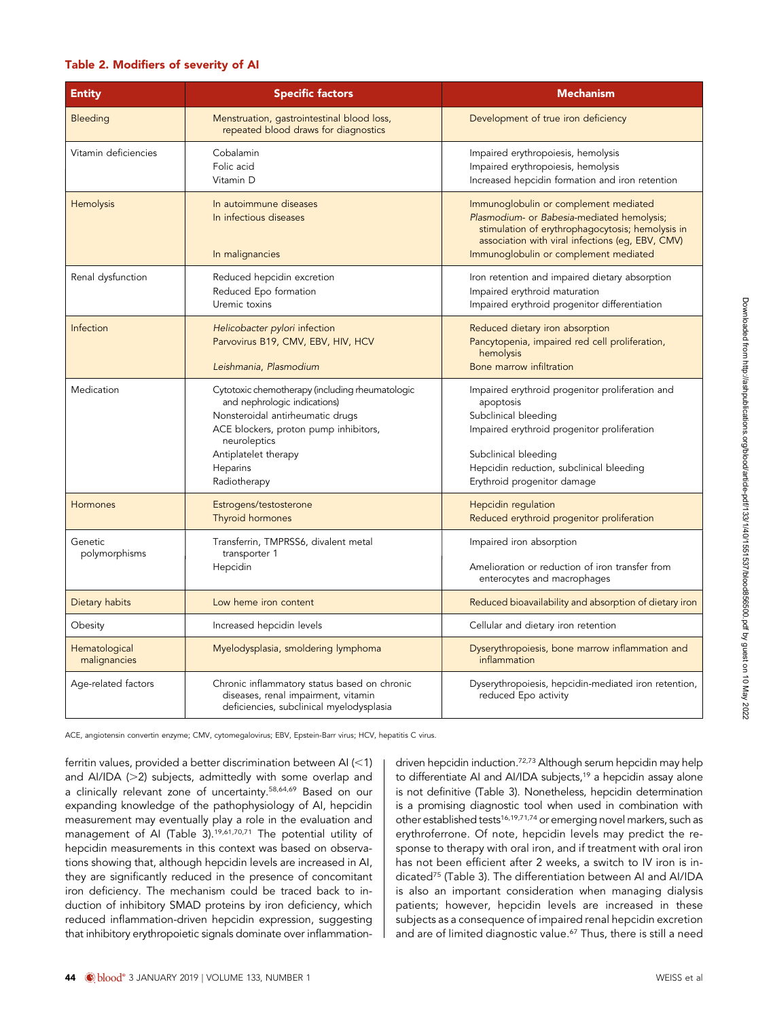#### Table 2. Modifiers of severity of AI

| <b>Entity</b>                 | <b>Specific factors</b>                                                                                                                                                                                                          | <b>Mechanism</b>                                                                                                                                                                                                                       |  |
|-------------------------------|----------------------------------------------------------------------------------------------------------------------------------------------------------------------------------------------------------------------------------|----------------------------------------------------------------------------------------------------------------------------------------------------------------------------------------------------------------------------------------|--|
| Bleeding                      | Menstruation, gastrointestinal blood loss,<br>repeated blood draws for diagnostics                                                                                                                                               | Development of true iron deficiency                                                                                                                                                                                                    |  |
| Vitamin deficiencies          | Cobalamin<br>Folic acid<br>Vitamin D                                                                                                                                                                                             | Impaired erythropoiesis, hemolysis<br>Impaired erythropoiesis, hemolysis<br>Increased hepcidin formation and iron retention                                                                                                            |  |
| <b>Hemolysis</b>              | In autoimmune diseases<br>In infectious diseases<br>In malignancies                                                                                                                                                              | Immunoglobulin or complement mediated<br>Plasmodium- or Babesia-mediated hemolysis;<br>stimulation of erythrophagocytosis; hemolysis in<br>association with viral infections (eg, EBV, CMV)<br>Immunoglobulin or complement mediated   |  |
| Renal dysfunction             | Reduced hepcidin excretion<br>Reduced Epo formation<br>Uremic toxins                                                                                                                                                             | Iron retention and impaired dietary absorption<br>Impaired erythroid maturation<br>Impaired erythroid progenitor differentiation                                                                                                       |  |
| Infection                     | Helicobacter pylori infection<br>Parvovirus B19, CMV, EBV, HIV, HCV<br>Leishmania, Plasmodium                                                                                                                                    | Reduced dietary iron absorption<br>Pancytopenia, impaired red cell proliferation,<br>hemolysis<br>Bone marrow infiltration                                                                                                             |  |
| Medication                    | Cytotoxic chemotherapy (including rheumatologic<br>and nephrologic indications)<br>Nonsteroidal antirheumatic drugs<br>ACE blockers, proton pump inhibitors,<br>neuroleptics<br>Antiplatelet therapy<br>Heparins<br>Radiotherapy | Impaired erythroid progenitor proliferation and<br>apoptosis<br>Subclinical bleeding<br>Impaired erythroid progenitor proliferation<br>Subclinical bleeding<br>Hepcidin reduction, subclinical bleeding<br>Erythroid progenitor damage |  |
| Hormones                      | Estrogens/testosterone<br>Thyroid hormones                                                                                                                                                                                       | Hepcidin regulation<br>Reduced erythroid progenitor proliferation                                                                                                                                                                      |  |
| Genetic<br>polymorphisms      | Transferrin, TMPRSS6, divalent metal<br>transporter 1<br>Hepcidin                                                                                                                                                                | Impaired iron absorption<br>Amelioration or reduction of iron transfer from<br>enterocytes and macrophages                                                                                                                             |  |
| Dietary habits                | Low heme iron content                                                                                                                                                                                                            | Reduced bioavailability and absorption of dietary iron                                                                                                                                                                                 |  |
| Obesity                       | Increased hepcidin levels                                                                                                                                                                                                        | Cellular and dietary iron retention                                                                                                                                                                                                    |  |
| Hematological<br>malignancies | Myelodysplasia, smoldering lymphoma                                                                                                                                                                                              | Dyserythropoiesis, bone marrow inflammation and<br>inflammation                                                                                                                                                                        |  |
| Age-related factors           | Chronic inflammatory status based on chronic<br>diseases, renal impairment, vitamin<br>deficiencies, subclinical myelodysplasia                                                                                                  | Dyserythropoiesis, hepcidin-mediated iron retention,<br>reduced Epo activity                                                                                                                                                           |  |

ACE, angiotensin convertin enzyme; CMV, cytomegalovirus; EBV, Epstein-Barr virus; HCV, hepatitis C virus.

ferritin values, provided a better discrimination between AI  $\left($  < 1) and AI/IDA ( $>$ 2) subjects, admittedly with some overlap and a clinically relevant zone of uncertainty.58,64,69 Based on our expanding knowledge of the pathophysiology of AI, hepcidin measurement may eventually play a role in the evaluation and management of AI (Table 3).19,61,70,71 The potential utility of hepcidin measurements in this context was based on observations showing that, although hepcidin levels are increased in AI, they are significantly reduced in the presence of concomitant iron deficiency. The mechanism could be traced back to induction of inhibitory SMAD proteins by iron deficiency, which reduced inflammation-driven hepcidin expression, suggesting that inhibitory erythropoietic signals dominate over inflammationdriven hepcidin induction.72,73 Although serum hepcidin may help to differentiate AI and AI/IDA subjects,<sup>19</sup> a hepcidin assay alone is not definitive (Table 3). Nonetheless, hepcidin determination is a promising diagnostic tool when used in combination with other established tests16,19,71,74 or emerging novel markers, such as erythroferrone. Of note, hepcidin levels may predict the response to therapy with oral iron, and if treatment with oral iron has not been efficient after 2 weeks, a switch to IV iron is indicated75 (Table 3). The differentiation between AI and AI/IDA is also an important consideration when managing dialysis patients; however, hepcidin levels are increased in these subjects as a consequence of impaired renal hepcidin excretion and are of limited diagnostic value.<sup>67</sup> Thus, there is still a need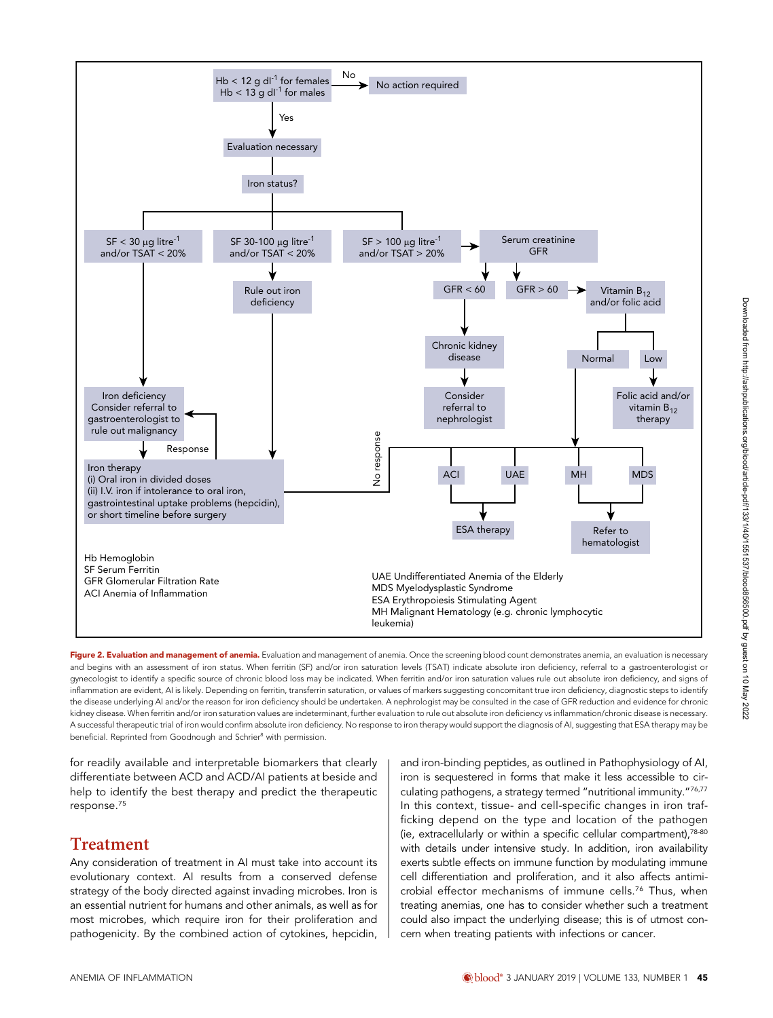

Figure 2. Evaluation and management of anemia. Evaluation and management of anemia. Once the screening blood count demonstrates anemia, an evaluation is necessary and begins with an assessment of iron status. When ferritin (SF) and/or iron saturation levels (TSAT) indicate absolute iron deficiency, referral to a gastroenterologist or gynecologist to identify a specific source of chronic blood loss may be indicated. When ferritin and/or iron saturation values rule out absolute iron deficiency, and signs of inflammation are evident, AI is likely. Depending on ferritin, transferrin saturation, or values of markers suggesting concomitant true iron deficiency, diagnostic steps to identify the disease underlying AI and/or the reason for iron deficiency should be undertaken. A nephrologist may be consulted in the case of GFR reduction and evidence for chronic kidney disease. When ferritin and/or iron saturation values are indeterminant, further evaluation to rule out absolute iron deficiency vs inflammation/chronic disease is necessary. A successful therapeutic trial of iron would confirm absolute iron deficiency. No response to iron therapy would support the diagnosis of AI, suggesting that ESA therapy may be beneficial. Reprinted from Goodnough and Schrier<sup>8</sup> with permission.

for readily available and interpretable biomarkers that clearly differentiate between ACD and ACD/AI patients at beside and help to identify the best therapy and predict the therapeutic response.75

# Treatment

Any consideration of treatment in AI must take into account its evolutionary context. AI results from a conserved defense strategy of the body directed against invading microbes. Iron is an essential nutrient for humans and other animals, as well as for most microbes, which require iron for their proliferation and pathogenicity. By the combined action of cytokines, hepcidin, and iron-binding peptides, as outlined in Pathophysiology of AI, iron is sequestered in forms that make it less accessible to circulating pathogens, a strategy termed "nutritional immunity."76,77 In this context, tissue- and cell-specific changes in iron trafficking depend on the type and location of the pathogen (ie, extracellularly or within a specific cellular compartment),78-80 with details under intensive study. In addition, iron availability exerts subtle effects on immune function by modulating immune cell differentiation and proliferation, and it also affects antimicrobial effector mechanisms of immune cells.76 Thus, when treating anemias, one has to consider whether such a treatment could also impact the underlying disease; this is of utmost concern when treating patients with infections or cancer.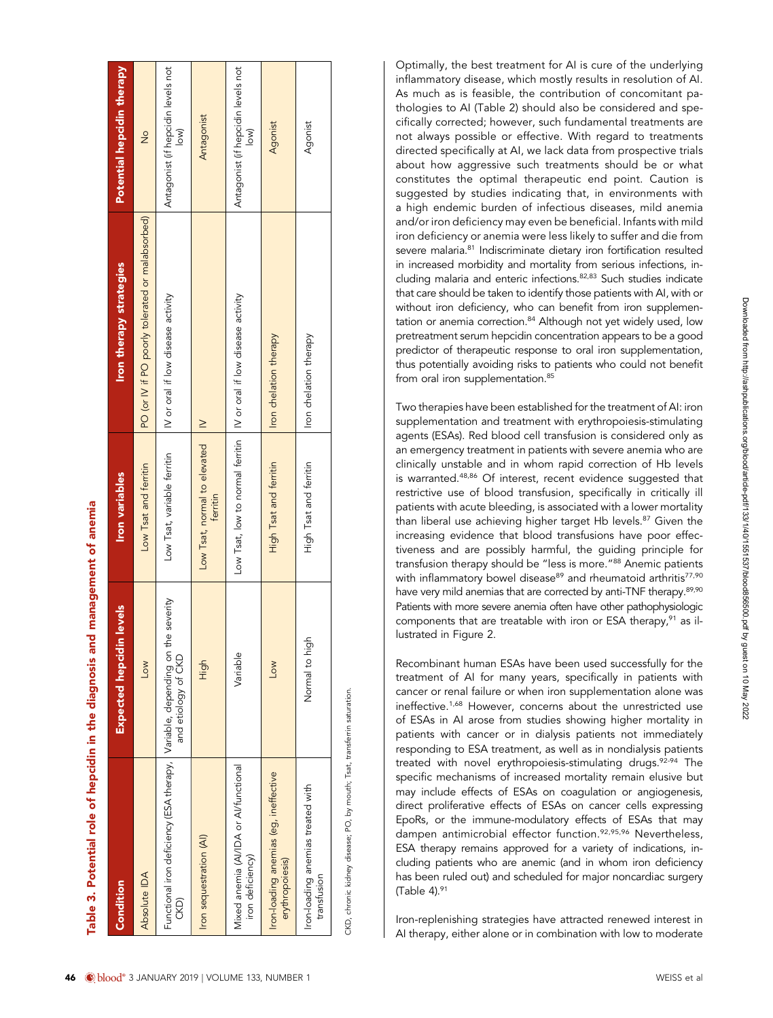| Condition                                                               | <b>Expected hepcidin levels</b>     | <b>Iron variables</b>                                                 | <b>Iron therapy strategies</b>                   | Potential hepcidin therapy                   |
|-------------------------------------------------------------------------|-------------------------------------|-----------------------------------------------------------------------|--------------------------------------------------|----------------------------------------------|
| Absolute IDA                                                            | <b>NO</b>                           | Low Tsat and ferritin                                                 | PO (or IV if PO poorly tolerated or malabsorbed) | $\frac{1}{2}$                                |
| Functional iron deficiency (ESA therapy, Variable, depending on<br>CKD) | the severity<br>and etiology of CKD | Low Tsat, variable ferritin                                           | IV or oral if low disease activity               | Antagonist (if hepcidin levels not<br> ow    |
| Iron sequestration (AI)                                                 | High                                | Low Tsat, normal to elevated<br>ferritin                              | $\geq$                                           | Antagonist                                   |
| Mixed anemia (AI/IDA or AI/functional<br>iron deficiency)               | Variable                            | Low Tsat, low to normal ferritin   IV or oral if low disease activity |                                                  | Antagonist (if hepcidin levels not<br>$\sim$ |
| Iron-loading anemias (eg, ineffective<br>erythropoiesis)                | <b>Low</b>                          | High Tsat and ferritin                                                | Iron chelation therapy                           | Agonist                                      |
| Iron-loading anemias treated with<br>transtusion                        | Nomal to high                       | High Tsat and ferritin                                                | Iron chelation therapy                           | Agonist                                      |
|                                                                         |                                     |                                                                       |                                                  |                                              |

 $\overline{ }$  $\mathbb{R}$   $\mathbf{I}$  $\overline{1}$ 

Table 3. Potential role of hepcidin in the diagnosis and management of anemia Table 3. Potential role of hepcidin in the diagnosis and management of anemia

CKD, chronic kidney disease; PO, by mouth; Tsat, transferrin saturation. CKD, chronic kidney disease; PO, by mouth; Tsat, transferrin saturation.

Optimally, the best treatment for AI is cure of the underlying inflammatory disease, which mostly results in resolution of AI. As much as is feasible, the contribution of concomitant pathologies to AI (Table 2) should also be considered and specifically corrected; however, such fundamental treatments are not always possible or effective. With regard to treatments directed specifically at AI, we lack data from prospective trials about how aggressive such treatments should be or what constitutes the optimal therapeutic end point. Caution is suggested by studies indicating that, in environments with a high endemic burden of infectious diseases, mild anemia and/or iron deficiency may even be beneficial. Infants with mild iron deficiency or anemia were less likely to suffer and die from severe malaria.<sup>81</sup> Indiscriminate dietary iron fortification resulted in increased morbidity and mortality from serious infections, including malaria and enteric infections.82,83 Such studies indicate that care should be taken to identify those patients with AI, with or without iron deficiency, who can benefit from iron supplementation or anemia correction.<sup>84</sup> Although not yet widely used, low pretreatment serum hepcidin concentration appears to be a good predictor of therapeutic response to oral iron supplementation, thus potentially avoiding risks to patients who could not benefit from oral iron supplementation.<sup>85</sup>

Two therapies have been established for the treatment of AI: iron supplementation and treatment with erythropoiesis-stimulating agents (ESAs). Red blood cell transfusion is considered only as an emergency treatment in patients with severe anemia who are clinically unstable and in whom rapid correction of Hb levels is warranted.48,86 Of interest, recent evidence suggested that restrictive use of blood transfusion, specifically in critically ill patients with acute bleeding, is associated with a lower mortality than liberal use achieving higher target Hb levels.<sup>87</sup> Given the increasing evidence that blood transfusions have poor effectiveness and are possibly harmful, the guiding principle for transfusion therapy should be "less is more."<sup>88</sup> Anemic patients with inflammatory bowel disease<sup>89</sup> and rheumatoid arthritis<sup>77,90</sup> have very mild anemias that are corrected by anti-TNF therapy.<sup>89,90</sup> Patients with more severe anemia often have other pathophysiologic components that are treatable with iron or ESA therapy, $91$  as illustrated in Figure 2.

Recombinant human ESAs have been used successfully for the treatment of AI for many years, specifically in patients with cancer or renal failure or when iron supplementation alone was ineffective.<sup>1,68</sup> However, concerns about the unrestricted use of ESAs in AI arose from studies showing higher mortality in patients with cancer or in dialysis patients not immediately responding to ESA treatment, as well as in nondialysis patients treated with novel erythropoiesis-stimulating drugs.<sup>92-94</sup> The specific mechanisms of increased mortality remain elusive but may include effects of ESAs on coagulation or angiogenesis, direct proliferative effects of ESAs on cancer cells expressing EpoRs, or the immune-modulatory effects of ESAs that may dampen antimicrobial effector function.92,95,96 Nevertheless, ESA therapy remains approved for a variety of indications, including patients who are anemic (and in whom iron deficiency has been ruled out) and scheduled for major noncardiac surgery (Table 4). $91$ 

Iron-replenishing strategies have attracted renewed interest in AI therapy, either alone or in combination with low to moderate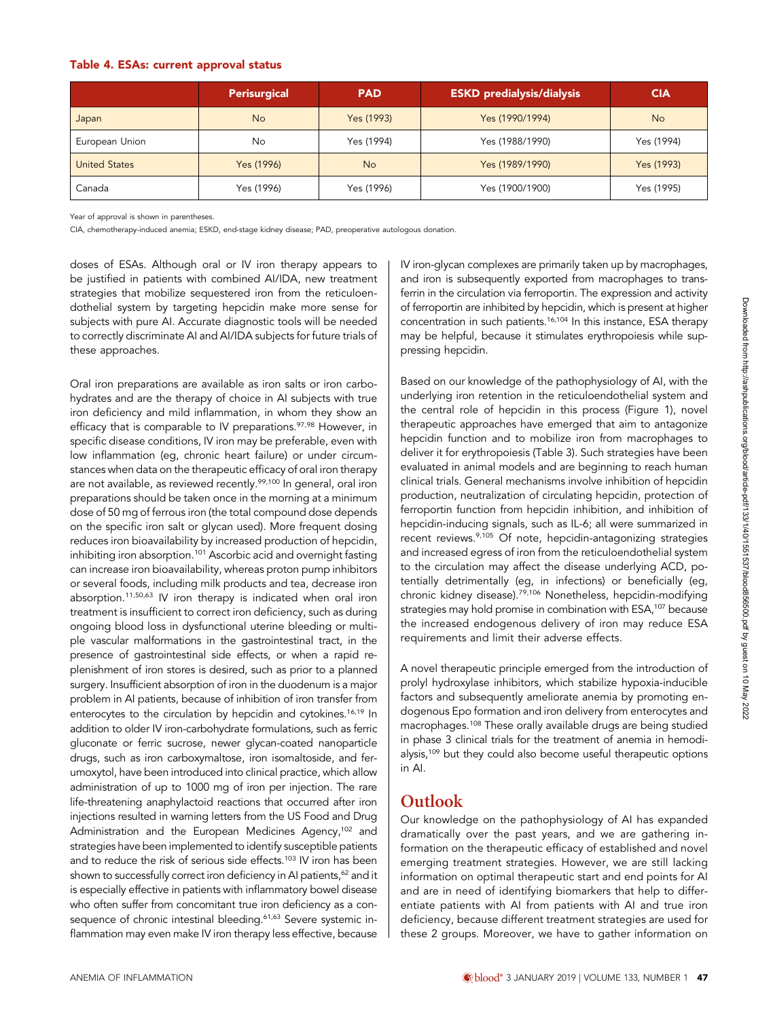|                      | <b>Perisurgical</b> | <b>PAD</b> | <b>ESKD</b> predialysis/dialysis | <b>CIA</b> |
|----------------------|---------------------|------------|----------------------------------|------------|
| Japan                | <b>No</b>           | Yes (1993) | Yes (1990/1994)                  | <b>No</b>  |
| European Union       | No                  | Yes (1994) | Yes (1988/1990)                  | Yes (1994) |
| <b>United States</b> | Yes (1996)          | <b>No</b>  | Yes (1989/1990)                  | Yes (1993) |
| Canada               | Yes (1996)          | Yes (1996) | Yes (1900/1900)                  | Yes (1995) |

Year of approval is shown in parentheses.

CIA, chemotherapy-induced anemia; ESKD, end-stage kidney disease; PAD, preoperative autologous donation.

doses of ESAs. Although oral or IV iron therapy appears to be justified in patients with combined AI/IDA, new treatment strategies that mobilize sequestered iron from the reticuloendothelial system by targeting hepcidin make more sense for subjects with pure AI. Accurate diagnostic tools will be needed to correctly discriminate AI and AI/IDA subjects for future trials of these approaches.

Oral iron preparations are available as iron salts or iron carbohydrates and are the therapy of choice in AI subjects with true iron deficiency and mild inflammation, in whom they show an efficacy that is comparable to IV preparations.<sup>97,98</sup> However, in specific disease conditions, IV iron may be preferable, even with low inflammation (eg, chronic heart failure) or under circumstances when data on the therapeutic efficacy of oral iron therapy are not available, as reviewed recently.<sup>99,100</sup> In general, oral iron preparations should be taken once in the morning at a minimum dose of 50 mg of ferrous iron (the total compound dose depends on the specific iron salt or glycan used). More frequent dosing reduces iron bioavailability by increased production of hepcidin, inhibiting iron absorption.<sup>101</sup> Ascorbic acid and overnight fasting can increase iron bioavailability, whereas proton pump inhibitors or several foods, including milk products and tea, decrease iron absorption.11,50,63 IV iron therapy is indicated when oral iron treatment is insufficient to correct iron deficiency, such as during ongoing blood loss in dysfunctional uterine bleeding or multiple vascular malformations in the gastrointestinal tract, in the presence of gastrointestinal side effects, or when a rapid replenishment of iron stores is desired, such as prior to a planned surgery. Insufficient absorption of iron in the duodenum is a major problem in AI patients, because of inhibition of iron transfer from enterocytes to the circulation by hepcidin and cytokines.<sup>16,19</sup> In addition to older IV iron-carbohydrate formulations, such as ferric gluconate or ferric sucrose, newer glycan-coated nanoparticle drugs, such as iron carboxymaltose, iron isomaltoside, and ferumoxytol, have been introduced into clinical practice, which allow administration of up to 1000 mg of iron per injection. The rare life-threatening anaphylactoid reactions that occurred after iron injections resulted in warning letters from the US Food and Drug Administration and the European Medicines Agency,<sup>102</sup> and strategies have been implemented to identify susceptible patients and to reduce the risk of serious side effects.<sup>103</sup> IV iron has been shown to successfully correct iron deficiency in AI patients,<sup>62</sup> and it is especially effective in patients with inflammatory bowel disease who often suffer from concomitant true iron deficiency as a consequence of chronic intestinal bleeding.<sup>61,63</sup> Severe systemic inflammation may even make IV iron therapy less effective, because IV iron-glycan complexes are primarily taken up by macrophages, and iron is subsequently exported from macrophages to transferrin in the circulation via ferroportin. The expression and activity of ferroportin are inhibited by hepcidin, which is present at higher concentration in such patients.<sup>16,104</sup> In this instance, ESA therapy may be helpful, because it stimulates erythropoiesis while suppressing hepcidin.

Based on our knowledge of the pathophysiology of AI, with the underlying iron retention in the reticuloendothelial system and the central role of hepcidin in this process (Figure 1), novel therapeutic approaches have emerged that aim to antagonize hepcidin function and to mobilize iron from macrophages to deliver it for erythropoiesis (Table 3). Such strategies have been evaluated in animal models and are beginning to reach human clinical trials. General mechanisms involve inhibition of hepcidin production, neutralization of circulating hepcidin, protection of ferroportin function from hepcidin inhibition, and inhibition of hepcidin-inducing signals, such as IL-6; all were summarized in recent reviews.<sup>9,105</sup> Of note, hepcidin-antagonizing strategies and increased egress of iron from the reticuloendothelial system to the circulation may affect the disease underlying ACD, potentially detrimentally (eg, in infections) or beneficially (eg, chronic kidney disease).79,106 Nonetheless, hepcidin-modifying strategies may hold promise in combination with ESA,<sup>107</sup> because the increased endogenous delivery of iron may reduce ESA requirements and limit their adverse effects.

A novel therapeutic principle emerged from the introduction of prolyl hydroxylase inhibitors, which stabilize hypoxia-inducible factors and subsequently ameliorate anemia by promoting endogenous Epo formation and iron delivery from enterocytes and macrophages.108 These orally available drugs are being studied in phase 3 clinical trials for the treatment of anemia in hemodialysis,<sup>109</sup> but they could also become useful therapeutic options in AI.

# Outlook

Our knowledge on the pathophysiology of AI has expanded dramatically over the past years, and we are gathering information on the therapeutic efficacy of established and novel emerging treatment strategies. However, we are still lacking information on optimal therapeutic start and end points for AI and are in need of identifying biomarkers that help to differentiate patients with AI from patients with AI and true iron deficiency, because different treatment strategies are used for these 2 groups. Moreover, we have to gather information on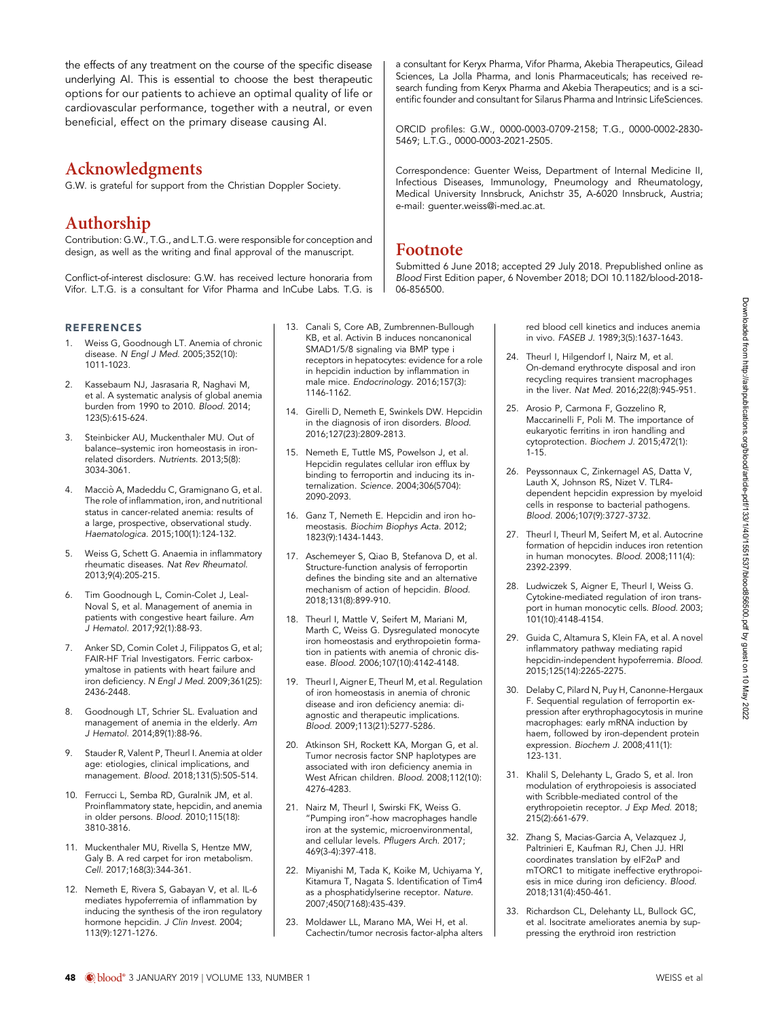the effects of any treatment on the course of the specific disease underlying AI. This is essential to choose the best therapeutic options for our patients to achieve an optimal quality of life or cardiovascular performance, together with a neutral, or even beneficial, effect on the primary disease causing AI.

### Acknowledgments

G.W. is grateful for support from the Christian Doppler Society.

# Authorship

Contribution: G.W., T.G., and L.T.G. were responsible for conception and design, as well as the writing and final approval of the manuscript.

Conflict-of-interest disclosure: G.W. has received lecture honoraria from Vifor. L.T.G. is a consultant for Vifor Pharma and InCube Labs. T.G. is

#### REFERENCES

- 1. Weiss G, Goodnough LT. Anemia of chronic disease. N Engl J Med. 2005;352(10): 1011-1023.
- 2. Kassebaum NJ, Jasrasaria R, Naghavi M, et al. A systematic analysis of global anemia burden from 1990 to 2010. Blood. 2014; 123(5):615-624.
- 3. Steinbicker AU, Muckenthaler MU. Out of balance–systemic iron homeostasis in ironrelated disorders. Nutrients. 2013;5(8): 3034-3061.
- 4. Macciò A, Madeddu C, Gramignano G, et al. The role of inflammation, iron, and nutritional status in cancer-related anemia: results of a large, prospective, observational study. Haematologica. 2015;100(1):124-132.
- 5. Weiss G, Schett G. Anaemia in inflammatory rheumatic diseases. Nat Rev Rheumatol. 2013;9(4):205-215.
- 6. Tim Goodnough L, Comin-Colet J, Leal-Noval S, et al. Management of anemia in patients with congestive heart failure. Am J Hematol. 2017;92(1):88-93.
- Anker SD, Comin Colet J, Filippatos G, et al; FAIR-HF Trial Investigators. Ferric carboxymaltose in patients with heart failure and iron deficiency. N Engl J Med. 2009;361(25): 2436-2448.
- 8. Goodnough LT, Schrier SL. Evaluation and management of anemia in the elderly. Am J Hematol. 2014;89(1):88-96.
- 9. Stauder R, Valent P, Theurl I. Anemia at older age: etiologies, clinical implications, and management. Blood. 2018;131(5):505-514.
- 10. Ferrucci L, Semba RD, Guralnik JM, et al. Proinflammatory state, hepcidin, and anemia in older persons. Blood. 2010;115(18): 3810-3816.
- 11. Muckenthaler MU, Rivella S, Hentze MW, Galy B. A red carpet for iron metabolism. Cell. 2017;168(3):344-361.
- 12. Nemeth E, Rivera S, Gabayan V, et al. IL-6 mediates hypoferremia of inflammation by inducing the synthesis of the iron regulatory hormone hepcidin. J Clin Invest. 2004; 113(9):1271-1276.
- 13. Canali S, Core AB, Zumbrennen-Bullough KB, et al. Activin B induces noncanonical SMAD1/5/8 signaling via BMP type i receptors in hepatocytes: evidence for a role in hepcidin induction by inflammation in male mice. Endocrinology. 2016;157(3): 1146-1162.
- 14. Girelli D, Nemeth E, Swinkels DW. Hepcidin in the diagnosis of iron disorders. Blood. 2016;127(23):2809-2813.
- 15. Nemeth E, Tuttle MS, Powelson J, et al. Hepcidin regulates cellular iron efflux by binding to ferroportin and inducing its internalization. Science. 2004;306(5704): 2090-2093.
- 16. Ganz T, Nemeth E. Hepcidin and iron homeostasis. Biochim Biophys Acta. 2012; 1823(9):1434-1443.
- 17. Aschemeyer S, Qiao B, Stefanova D, et al. Structure-function analysis of ferroportin defines the binding site and an alternative mechanism of action of hepcidin. Blood. 2018;131(8):899-910.
- 18. Theurl I, Mattle V, Seifert M, Mariani M, Marth C, Weiss G. Dysregulated monocyte iron homeostasis and erythropoietin formation in patients with anemia of chronic disease. Blood. 2006;107(10):4142-4148.
- 19. Theurl I, Aigner E, Theurl M, et al. Regulation of iron homeostasis in anemia of chronic disease and iron deficiency anemia: diagnostic and therapeutic implications. Blood. 2009;113(21):5277-5286.
- 20. Atkinson SH, Rockett KA, Morgan G, et al. Tumor necrosis factor SNP haplotypes are associated with iron deficiency anemia in West African children. Blood. 2008;112(10): 4276-4283.
- 21. Nairz M, Theurl I, Swirski FK, Weiss G. "Pumping iron"-how macrophages handle iron at the systemic, microenvironmental, and cellular levels. Pflugers Arch. 2017; 469(3-4):397-418.
- 22. Miyanishi M, Tada K, Koike M, Uchiyama Y, Kitamura T, Nagata S. Identification of Tim4 as a phosphatidylserine receptor. Nature. 2007;450(7168):435-439.
- 23. Moldawer LL, Marano MA, Wei H, et al. Cachectin/tumor necrosis factor-alpha alters

a consultant for Keryx Pharma, Vifor Pharma, Akebia Therapeutics, Gilead Sciences, La Jolla Pharma, and Ionis Pharmaceuticals; has received research funding from Keryx Pharma and Akebia Therapeutics; and is a scientific founder and consultant for Silarus Pharma and Intrinsic LifeSciences.

ORCID profiles: G.W[., 0000-0003-0709-2158;](http://orcid.org/0000-0003-0709-2158) T.G.[, 0000-0002-2830-](http://orcid.org/0000-0002-2830-5469) [5469;](http://orcid.org/0000-0002-2830-5469) L.T.G.[, 0000-0003-2021-2505.](http://orcid.org/0000-0003-2021-2505)

Correspondence: Guenter Weiss, Department of Internal Medicine II, Infectious Diseases, Immunology, Pneumology and Rheumatology, Medical University Innsbruck, Anichstr 35, A-6020 Innsbruck, Austria; e-mail: [guenter.weiss@i-med.ac.at](mailto:guenter.weiss@i-med.ac.at).

### Footnote

Submitted 6 June 2018; accepted 29 July 2018. Prepublished online as Blood First Edition paper, 6 November 2018; DOI [10.1182/blood-2018-](https://doi.org/10.1182/blood-2018-06-856500) [06-856500.](https://doi.org/10.1182/blood-2018-06-856500)

> red blood cell kinetics and induces anemia in vivo. FASEB J. 1989;3(5):1637-1643.

- 24. Theurl I, Hilgendorf I, Nairz M, et al. On-demand erythrocyte disposal and iron recycling requires transient macrophages in the liver. Nat Med. 2016;22(8):945-951.
- 25. Arosio P, Carmona F, Gozzelino R, Maccarinelli F, Poli M. The importance of eukaryotic ferritins in iron handling and cytoprotection. Biochem J. 2015;472(1): 1-15.
- 26. Peyssonnaux C, Zinkernagel AS, Datta V, Lauth X, Johnson RS, Nizet V. TLR4 dependent hepcidin expression by myeloid cells in response to bacterial pathogens. Blood. 2006;107(9):3727-3732.
- 27. Theurl I, Theurl M, Seifert M, et al. Autocrine formation of hepcidin induces iron retention in human monocytes. Blood. 2008;111(4): 2392-2399.
- 28. Ludwiczek S, Aigner E, Theurl I, Weiss G. Cytokine-mediated regulation of iron transport in human monocytic cells. Blood. 2003; 101(10):4148-4154.
- 29. Guida C, Altamura S, Klein FA, et al. A novel inflammatory pathway mediating rapid hepcidin-independent hypoferremia. Blood. 2015;125(14):2265-2275.
- 30. Delaby C, Pilard N, Puy H, Canonne-Hergaux F. Sequential regulation of ferroportin expression after erythrophagocytosis in murine macrophages: early mRNA induction by haem, followed by iron-dependent protein expression. Biochem J. 2008;411(1): 123-131.
- 31. Khalil S, Delehanty L, Grado S, et al. Iron modulation of erythropoiesis is associated with Scribble-mediated control of the erythropoietin receptor. J Exp Med. 2018; 215(2):661-679.
- 32. Zhang S, Macias-Garcia A, Velazquez J, Paltrinieri E, Kaufman RJ, Chen JJ. HRI coordinates translation by eIF2aP and mTORC1 to mitigate ineffective erythropoiesis in mice during iron deficiency. Blood. 2018;131(4):450-461.
- 33. Richardson CL, Delehanty LL, Bullock GC, et al. Isocitrate ameliorates anemia by suppressing the erythroid iron restriction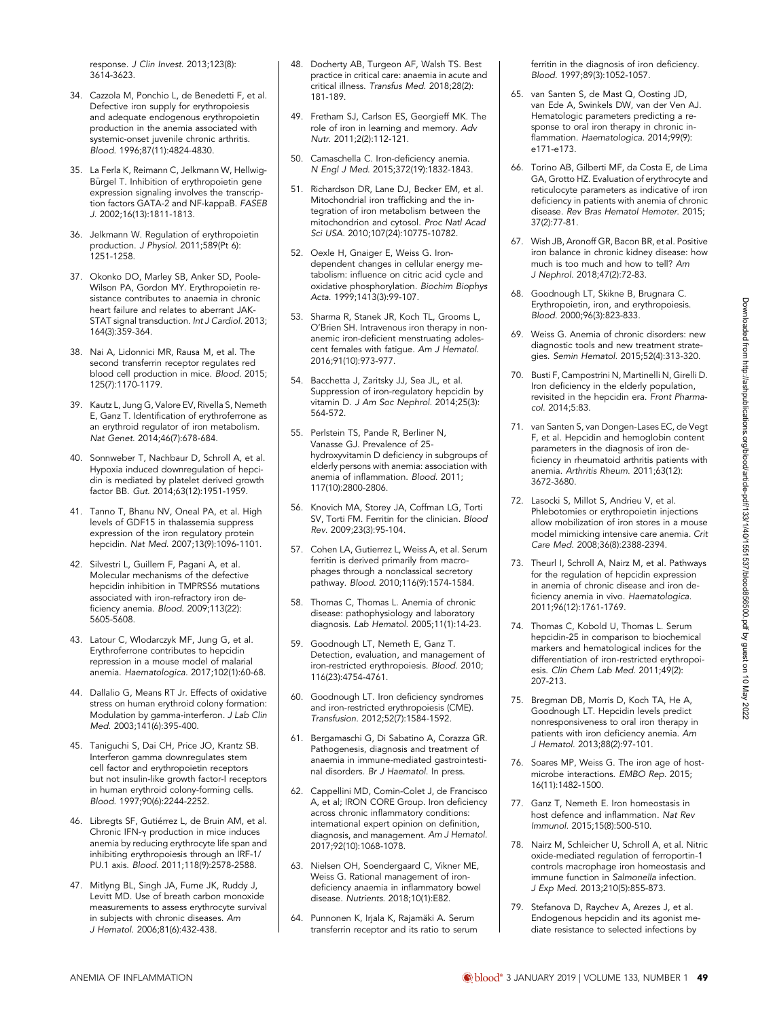response. J Clin Invest. 2013;123(8): 3614-3623.

- 34. Cazzola M, Ponchio L, de Benedetti F, et al. Defective iron supply for erythropoiesis and adequate endogenous erythropoietin production in the anemia associated with systemic-onset juvenile chronic arthritis. Blood. 1996;87(11):4824-4830.
- 35. La Ferla K, Reimann C, Jelkmann W, Hellwig-Bürgel T. Inhibition of erythropoietin gene expression signaling involves the transcription factors GATA-2 and NF-kappaB. FASEB J. 2002;16(13):1811-1813.
- 36. Jelkmann W. Regulation of erythropoietin production. J Physiol. 2011;589(Pt 6): 1251-1258.
- 37. Okonko DO, Marley SB, Anker SD, Poole-Wilson PA, Gordon MY. Erythropoietin resistance contributes to anaemia in chronic heart failure and relates to aberrant JAK-STAT signal transduction. Int J Cardiol. 2013; 164(3):359-364.
- 38. Nai A, Lidonnici MR, Rausa M, et al. The second transferrin receptor regulates red blood cell production in mice. Blood. 2015; 125(7):1170-1179.
- 39. Kautz L, Jung G, Valore EV, Rivella S, Nemeth E, Ganz T. Identification of erythroferrone as an erythroid regulator of iron metabolism. Nat Genet. 2014;46(7):678-684.
- 40. Sonnweber T, Nachbaur D, Schroll A, et al. Hypoxia induced downregulation of hepcidin is mediated by platelet derived growth factor BB. Gut. 2014;63(12):1951-1959.
- 41. Tanno T, Bhanu NV, Oneal PA, et al. High levels of GDF15 in thalassemia suppress expression of the iron regulatory protein hepcidin. Nat Med. 2007;13(9):1096-1101.
- 42. Silvestri L, Guillem F, Pagani A, et al. Molecular mechanisms of the defective hepcidin inhibition in TMPRSS6 mutations associated with iron-refractory iron deficiency anemia. Blood. 2009;113(22): 5605-5608.
- 43. Latour C, Wlodarczyk MF, Jung G, et al. Erythroferrone contributes to hepcidin repression in a mouse model of malarial anemia. Haematologica. 2017;102(1):60-68.
- 44. Dallalio G, Means RT Jr. Effects of oxidative stress on human erythroid colony formation: Modulation by gamma-interferon. J Lab Clin Med. 2003;141(6):395-400.
- 45. Taniguchi S, Dai CH, Price JO, Krantz SB. Interferon gamma downregulates stem cell factor and erythropoietin receptors but not insulin-like growth factor-I receptors in human erythroid colony-forming cells. Blood. 1997;90(6):2244-2252.
- 46. Libregts SF, Gutiérrez L, de Bruin AM, et al. Chronic IFN-g production in mice induces anemia by reducing erythrocyte life span and inhibiting erythropoiesis through an IRF-1/ PU.1 axis. Blood. 2011;118(9):2578-2588.
- 47. Mitlyng BL, Singh JA, Furne JK, Ruddy J, Levitt MD. Use of breath carbon monoxide measurements to assess erythrocyte survival in subjects with chronic diseases. Am J Hematol. 2006;81(6):432-438.
- 48. Docherty AB, Turgeon AF, Walsh TS. Best practice in critical care: anaemia in acute and critical illness. Transfus Med. 2018;28(2): 181-189.
- 49. Fretham SJ, Carlson ES, Georgieff MK. The role of iron in learning and memory. Adv Nutr. 2011;2(2):112-121.
- 50. Camaschella C. Iron-deficiency anemia. N Engl J Med. 2015;372(19):1832-1843.
- 51. Richardson DR, Lane DJ, Becker EM, et al. Mitochondrial iron trafficking and the integration of iron metabolism between the mitochondrion and cytosol. Proc Natl Acad Sci USA. 2010;107(24):10775-10782.
- 52. Oexle H, Gnaiger E, Weiss G. Irondependent changes in cellular energy metabolism: influence on citric acid cycle and oxidative phosphorylation. Biochim Biophys Acta. 1999;1413(3):99-107.
- 53. Sharma R, Stanek JR, Koch TL, Grooms L, O'Brien SH. Intravenous iron therapy in nonanemic iron-deficient menstruating adolescent females with fatigue. Am J Hematol. 2016;91(10):973-977.
- 54. Bacchetta J, Zaritsky JJ, Sea JL, et al. Suppression of iron-regulatory hepcidin by vitamin D. J Am Soc Nephrol. 2014;25(3): 564-572.
- 55. Perlstein TS, Pande R, Berliner N, Vanasse GJ. Prevalence of 25 hydroxyvitamin D deficiency in subgroups of elderly persons with anemia: association with anemia of inflammation. Blood. 2011; 117(10):2800-2806.
- 56. Knovich MA, Storey JA, Coffman LG, Torti SV, Torti FM. Ferritin for the clinician. Blood Rev. 2009;23(3):95-104.
- 57. Cohen LA, Gutierrez L, Weiss A, et al. Serum ferritin is derived primarily from macrophages through a nonclassical secretory pathway. Blood. 2010;116(9):1574-1584.
- 58. Thomas C, Thomas L. Anemia of chronic disease: pathophysiology and laboratory diagnosis. Lab Hematol. 2005;11(1):14-23.
- 59. Goodnough LT, Nemeth E, Ganz T. Detection, evaluation, and management of iron-restricted erythropoiesis. Blood. 2010; 116(23):4754-4761.
- 60. Goodnough LT. Iron deficiency syndromes and iron-restricted erythropoiesis (CME). Transfusion. 2012;52(7):1584-1592.
- 61. Bergamaschi G, Di Sabatino A, Corazza GR. Pathogenesis, diagnosis and treatment of anaemia in immune-mediated gastrointestinal disorders. Br J Haematol. In press.
- 62. Cappellini MD, Comin-Colet J, de Francisco A, et al; IRON CORE Group. Iron deficiency across chronic inflammatory conditions: international expert opinion on definition, diagnosis, and management. Am J Hematol. 2017;92(10):1068-1078.
- 63. Nielsen OH, Soendergaard C, Vikner ME, Weiss G. Rational management of irondeficiency anaemia in inflammatory bowel disease. Nutrients. 2018;10(1):E82.
- 64. Punnonen K, Irjala K, Rajamäki A. Serum transferrin receptor and its ratio to serum

ferritin in the diagnosis of iron deficiency. Blood. 1997;89(3):1052-1057.

- 65. van Santen S, de Mast Q, Oosting JD, van Ede A, Swinkels DW, van der Ven AJ. Hematologic parameters predicting a response to oral iron therapy in chronic inflammation. Haematologica. 2014;99(9): e171-e173.
- 66. Torino AB, Gilberti MF, da Costa E, de Lima GA, Grotto HZ. Evaluation of erythrocyte and reticulocyte parameters as indicative of iron deficiency in patients with anemia of chronic disease. Rev Bras Hematol Hemoter. 2015; 37(2):77-81.
- 67. Wish JB, Aronoff GR, Bacon BR, et al. Positive iron balance in chronic kidney disease: how much is too much and how to tell? Am J Nephrol. 2018;47(2):72-83.
- 68. Goodnough LT, Skikne B, Brugnara C. Erythropoietin, iron, and erythropoiesis. Blood. 2000;96(3):823-833.
- 69. Weiss G. Anemia of chronic disorders: new diagnostic tools and new treatment strategies. Semin Hematol. 2015;52(4):313-320.
- 70. Busti F, Campostrini N, Martinelli N, Girelli D. Iron deficiency in the elderly population, revisited in the hepcidin era. Front Pharmacol. 2014;5:83.
- 71. van Santen S, van Dongen-Lases EC, de Vegt F, et al. Hepcidin and hemoglobin content parameters in the diagnosis of iron deficiency in rheumatoid arthritis patients with anemia. Arthritis Rheum. 2011;63(12): 3672-3680.
- 72. Lasocki S, Millot S, Andrieu V, et al. Phlebotomies or erythropoietin injections allow mobilization of iron stores in a mouse model mimicking intensive care anemia. Crit Care Med. 2008;36(8):2388-2394.
- 73. Theurl I, Schroll A, Nairz M, et al. Pathways for the regulation of hepcidin expression in anemia of chronic disease and iron deficiency anemia in vivo. Haematologica. 2011;96(12):1761-1769.
- 74. Thomas C, Kobold U, Thomas L. Serum hepcidin-25 in comparison to biochemical markers and hematological indices for the differentiation of iron-restricted erythropoiesis. Clin Chem Lab Med. 2011;49(2): 207-213.
- 75. Bregman DB, Morris D, Koch TA, He A, Goodnough LT. Hepcidin levels predict nonresponsiveness to oral iron therapy in patients with iron deficiency anemia. Am J Hematol. 2013;88(2):97-101.
- 76. Soares MP, Weiss G. The iron age of hostmicrobe interactions. EMBO Rep. 2015; 16(11):1482-1500.
- 77. Ganz T, Nemeth E. Iron homeostasis in host defence and inflammation. Nat Rev Immunol. 2015;15(8):500-510.
- 78. Nairz M, Schleicher U, Schroll A, et al. Nitric oxide-mediated regulation of ferroportin-1 controls macrophage iron homeostasis and immune function in Salmonella infection. J Exp Med. 2013;210(5):855-873.
- 79. Stefanova D, Raychev A, Arezes J, et al. Endogenous hepcidin and its agonist mediate resistance to selected infections by